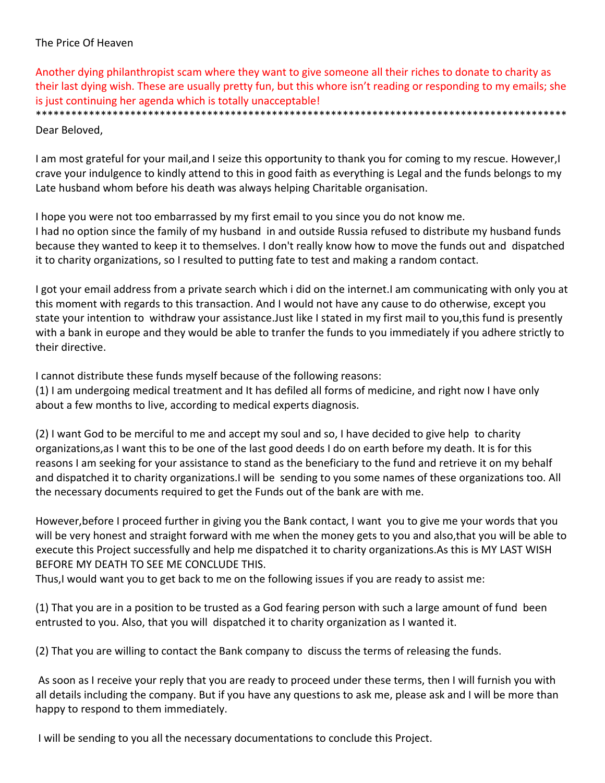# The Price Of Heaven

Another dying philanthropist scam where they want to give someone all their riches to donate to charity as their last dying wish. These are usually pretty fun, but this whore isn't reading or responding to my emails; she is just continuing her agenda which is totally unacceptable!

\*\*\*\*\*\*\*\*\*\*\*\*\*\*\*\*\*\*\*\*\*\*\*\*\*\*\*\*\*\*\*\*\*\*

### Dear Beloved,

I am most grateful for your mail,and I seize this opportunity to thank you for coming to my rescue. However,I crave your indulgence to kindly attend to this in good faith as everything is Legal and the funds belongs to my Late husband whom before his death was always helping Charitable organisation.

I hope you were not too embarrassed by my first email to you since you do not know me. I had no option since the family of my husband in and outside Russia refused to distribute my husband funds because they wanted to keep it to themselves. I don't really know how to move the funds out and dispatched it to charity organizations, so I resulted to putting fate to test and making a random contact.

I got your email address from a private search which i did on the internet.I am communicating with only you at this moment with regards to this transaction. And I would not have any cause to do otherwise, except you state your intention to withdraw your assistance.Just like I stated in my first mail to you,this fund is presently with a bank in europe and they would be able to tranfer the funds to you immediately if you adhere strictly to their directive.

I cannot distribute these funds myself because of the following reasons:

(1) I am undergoing medical treatment and It has defiled all forms of medicine, and right now I have only about a few months to live, according to medical experts diagnosis.

(2) I want God to be merciful to me and accept my soul and so, I have decided to give help to charity organizations,as I want this to be one of the last good deeds I do on earth before my death. It is for this reasons I am seeking for your assistance to stand as the beneficiary to the fund and retrieve it on my behalf and dispatched it to charity organizations.I will be sending to you some names of these organizations too. All the necessary documents required to get the Funds out of the bank are with me.

However,before I proceed further in giving you the Bank contact, I want you to give me your words that you will be very honest and straight forward with me when the money gets to you and also,that you will be able to execute this Project successfully and help me dispatched it to charity organizations.As this is MY LAST WISH BEFORE MY DEATH TO SEE ME CONCLUDE THIS.

Thus,I would want you to get back to me on the following issues if you are ready to assist me:

(1) That you are in a position to be trusted as a God fearing person with such a large amount of fund been entrusted to you. Also, that you will dispatched it to charity organization as I wanted it.

(2) That you are willing to contact the Bank company to discuss the terms of releasing the funds.

As soon as I receive your reply that you are ready to proceed under these terms, then I will furnish you with all details including the company. But if you have any questions to ask me, please ask and I will be more than happy to respond to them immediately.

I will be sending to you all the necessary documentations to conclude this Project.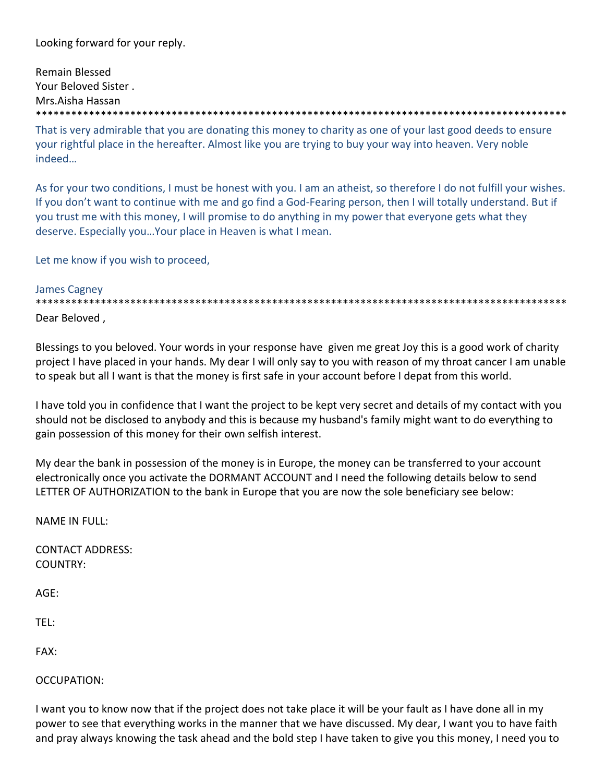Looking forward for your reply.

Remain Blessed Your Beloved Sister . Mrs.Aisha Hassan \*\*\*\*\*\*\*\*\*\*\*\*\*\*\*\*\*\*\*\*\*\*\*\*\*\*\*\*\*\*\*\*\*\*\*\*\*\*\*\*\*\*\*\*\*\*\*\*\*\*\*\*\*\*\*\*\*\*\*\*\*\*\*\*\*\*\*\*\*\*\*\*\*\*\*\*\*\*\*\*\*\*\*\*\*\*\*\*\*\*

That is very admirable that you are donating this money to charity as one of your last good deeds to ensure your rightful place in the hereafter. Almost like you are trying to buy your way into heaven. Very noble indeed…

As for your two conditions, I must be honest with you. I am an atheist, so therefore I do not fulfill your wishes. If you don't want to continue with me and go find a God‐Fearing person, then I will totally understand. But if you trust me with this money, I will promise to do anything in my power that everyone gets what they deserve. Especially you…Your place in Heaven is what I mean.

Let me know if you wish to proceed,

### James Cagney

\*\*\*\*\*\*\*\*\*\*\*\*\*\*\*\*\*\*\*\*\*\*\*\*\*\*\*\*\*\*\*\*\*\*\*\*\*\*\*\*\*\*\*\*\*\*\*\*\*\*\*\*\*\*\*\*\*\*\*\*\*\*\*\*\*\*\*\*\*\*\*\*\*\*\*\*\*\*\*\*\*\*\*\*\*\*\*\*\*\* Dear Beloved ,

Blessings to you beloved. Your words in your response have given me great Joy this is a good work of charity project I have placed in your hands. My dear I will only say to you with reason of my throat cancer I am unable to speak but all I want is that the money is first safe in your account before I depat from this world.

I have told you in confidence that I want the project to be kept very secret and details of my contact with you should not be disclosed to anybody and this is because my husband's family might want to do everything to gain possession of this money for their own selfish interest.

My dear the bank in possession of the money is in Europe, the money can be transferred to your account electronically once you activate the DORMANT ACCOUNT and I need the following details below to send LETTER OF AUTHORIZATION to the bank in Europe that you are now the sole beneficiary see below:

NAME IN FULL:

CONTACT ADDRESS: COUNTRY:

AGE:

TEL:

FAX:

OCCUPATION:

I want you to know now that if the project does not take place it will be your fault as I have done all in my power to see that everything works in the manner that we have discussed. My dear, I want you to have faith and pray always knowing the task ahead and the bold step I have taken to give you this money, I need you to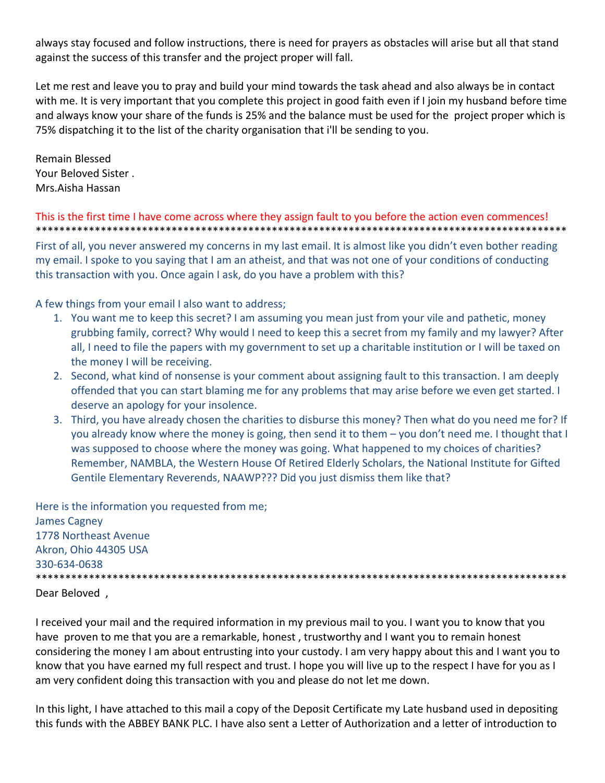always stay focused and follow instructions, there is need for prayers as obstacles will arise but all that stand against the success of this transfer and the project proper will fall.

Let me rest and leave you to pray and build your mind towards the task ahead and also always be in contact with me. It is very important that you complete this project in good faith even if I join my husband before time and always know your share of the funds is 25% and the balance must be used for the project proper which is 75% dispatching it to the list of the charity organisation that i'll be sending to you.

Remain Blessed Your Beloved Sister . Mrs.Aisha Hassan

#### This is the first time I have come across where they assign fault to you before the action even commences! \*\*\*\*\*\*\*\*\*\*\*\*\*\*\*\*\*\*\*\*\*\*\*\*\*\*\*\*\*\*\*\*\*\*\*\*\*\*\*\*\*\*\*\*\*\*\*\*\*\*\*\*\*\*\*\*\*\*\*\*\*\*\*\*\*\*\*\*\*\*\*\*\*\*\*\*\*\*\*\*\*\*\*\*\*\*\*\*\*\*

First of all, you never answered my concerns in my last email. It is almost like you didn't even bother reading my email. I spoke to you saying that I am an atheist, and that was not one of your conditions of conducting this transaction with you. Once again I ask, do you have a problem with this?

A few things from your email I also want to address;

- 1. You want me to keep this secret? I am assuming you mean just from your vile and pathetic, money grubbing family, correct? Why would I need to keep this a secret from my family and my lawyer? After all, I need to file the papers with my government to set up a charitable institution or I will be taxed on the money I will be receiving.
- 2. Second, what kind of nonsense is your comment about assigning fault to this transaction. I am deeply offended that you can start blaming me for any problems that may arise before we even get started. I deserve an apology for your insolence.
- 3. Third, you have already chosen the charities to disburse this money? Then what do you need me for? If you already know where the money is going, then send it to them – you don't need me. I thought that I was supposed to choose where the money was going. What happened to my choices of charities? Remember, NAMBLA, the Western House Of Retired Elderly Scholars, the National Institute for Gifted Gentile Elementary Reverends, NAAWP??? Did you just dismiss them like that?

Here is the information you requested from me; James Cagney 1778 Northeast Avenue Akron, Ohio 44305 USA 330‐634‐0638 \*\*\*\*\*\*\*\*\*\*\*\*\*\*\*\*\*\*\*\*\*\*\*\*\*\*\*\*\*\*\*\*\*\*\*\*\*\*\*\*\*\*\*\*\*\*\*\*\*\*\*\*\*\*\*\*\*\*\*\*\*\*\*\*\*\*\*\*\*\*\*\*\*\*\*\*\*\*\*\*\*\*\*\*\*\*\*\*\*\*

Dear Beloved ,

I received your mail and the required information in my previous mail to you. I want you to know that you have proven to me that you are a remarkable, honest , trustworthy and I want you to remain honest considering the money I am about entrusting into your custody. I am very happy about this and I want you to know that you have earned my full respect and trust. I hope you will live up to the respect I have for you as I am very confident doing this transaction with you and please do not let me down.

In this light, I have attached to this mail a copy of the Deposit Certificate my Late husband used in depositing this funds with the ABBEY BANK PLC. I have also sent a Letter of Authorization and a letter of introduction to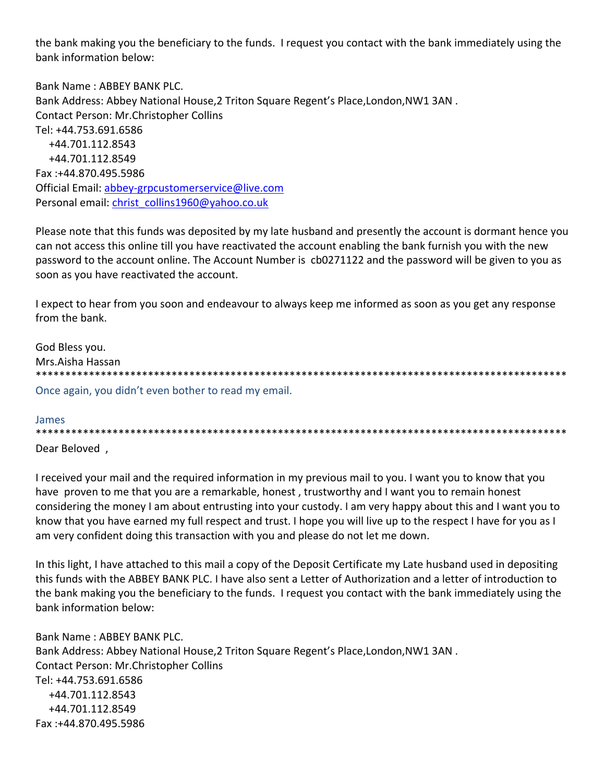the bank making you the beneficiary to the funds. I request you contact with the bank immediately using the bank information below:

Bank Name: ABBFY BANK PLC. Bank Address: Abbey National House, 2 Triton Square Regent's Place, London, NW1 3AN. **Contact Person: Mr.Christopher Collins** Tel: +44.753.691.6586 +44.701.112.8543 +44.701.112.8549 Fax:+44.870.495.5986 Official Email: abbey-grpcustomerservice@live.com Personal email: christ collins1960@yahoo.co.uk

Please note that this funds was deposited by my late husband and presently the account is dormant hence you can not access this online till you have reactivated the account enabling the bank furnish you with the new password to the account online. The Account Number is cb0271122 and the password will be given to you as soon as you have reactivated the account.

I expect to hear from you soon and endeavour to always keep me informed as soon as you get any response from the bank.

God Bless you. Mrs.Aisha Hassan Once again, you didn't even bother to read my email.

#### James

Dear Beloved.

I received your mail and the required information in my previous mail to you. I want you to know that you have proven to me that you are a remarkable, honest, trustworthy and I want you to remain honest considering the money I am about entrusting into your custody. I am very happy about this and I want you to know that you have earned my full respect and trust. I hope you will live up to the respect I have for you as I am very confident doing this transaction with you and please do not let me down.

In this light, I have attached to this mail a copy of the Deposit Certificate my Late husband used in depositing this funds with the ABBEY BANK PLC. I have also sent a Letter of Authorization and a letter of introduction to the bank making you the beneficiary to the funds. I request you contact with the bank immediately using the bank information below:

Bank Name: ABBEY BANK PLC. Bank Address: Abbey National House, 2 Triton Square Regent's Place, London, NW1 3AN. **Contact Person: Mr.Christopher Collins** Tel: +44.753.691.6586 +44.701.112.8543 +44.701.112.8549 Fax:+44.870.495.5986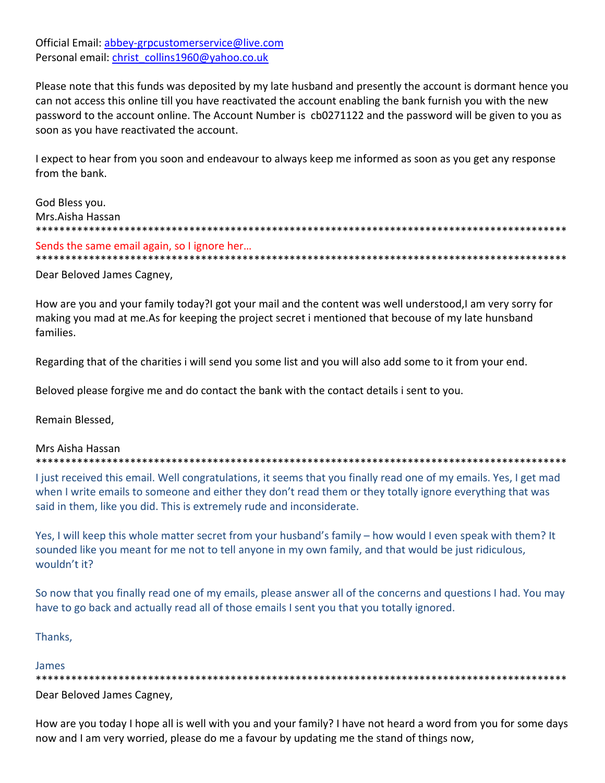Official Email: abbey-grpcustomerservice@live.com Personal email: christ collins1960@yahoo.co.uk

Please note that this funds was deposited by my late husband and presently the account is dormant hence you can not access this online till you have reactivated the account enabling the bank furnish you with the new password to the account online. The Account Number is cb0271122 and the password will be given to you as soon as you have reactivated the account.

I expect to hear from you soon and endeavour to always keep me informed as soon as you get any response from the bank.

God Bless you. Mrs.Aisha Hassan Sends the same email again, so I ignore her... 

Dear Beloved James Cagney,

How are you and your family today?I got your mail and the content was well understood,I am very sorry for making you mad at me.As for keeping the project secret i mentioned that becouse of my late hunsband families.

Regarding that of the charities i will send you some list and you will also add some to it from your end.

Beloved please forgive me and do contact the bank with the contact details i sent to you.

Remain Blessed,

#### Mrs Aisha Hassan

I just received this email. Well congratulations, it seems that you finally read one of my emails. Yes, I get mad when I write emails to someone and either they don't read them or they totally ignore everything that was said in them, like you did. This is extremely rude and inconsiderate.

Yes, I will keep this whole matter secret from your husband's family - how would I even speak with them? It sounded like you meant for me not to tell anyone in my own family, and that would be just ridiculous, wouldn't it?

So now that you finally read one of my emails, please answer all of the concerns and questions I had. You may have to go back and actually read all of those emails I sent you that you totally ignored.

Thanks,

## James

Dear Beloved James Cagney,

How are you today I hope all is well with you and your family? I have not heard a word from you for some days now and I am very worried, please do me a favour by updating me the stand of things now,